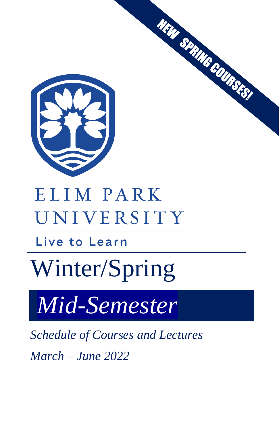

# ELIM PARK UNIVERSITY

Live to Learn

# Winter/Spring

*Mid-Semester* 

*Schedule of Courses and Lectures*

*March – June 2022*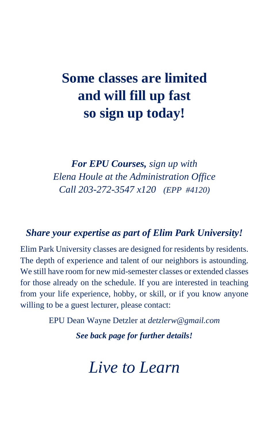# **Some classes are limited and will fill up fast so sign up today!**

*For EPU Courses, sign up with Elena Houle at the Administration Office Call 203-272-3547 x120 (EPP #4120)*

#### *Share your expertise as part of Elim Park University!*

Elim Park University classes are designed for residents by residents. The depth of experience and talent of our neighbors is astounding. We still have room for new mid-semester classes or extended classes for those already on the schedule. If you are interested in teaching from your life experience, hobby, or skill, or if you know anyone willing to be a guest lecturer, please contact:

EPU Dean Wayne Detzler at *detzlerw@gmail.com*

*See back page for further details!*

*Live to Learn*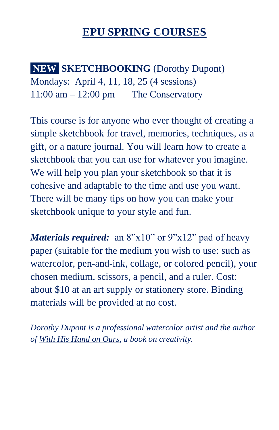### **EPU SPRING COURSES**

**NEW SKETCHBOOKING** (Dorothy Dupont) Mondays: April 4, 11, 18, 25 (4 sessions)  $11:00$  am  $-12:00$  pm The Conservatory

This course is for anyone who ever thought of creating a simple sketchbook for travel, memories, techniques, as a gift, or a nature journal. You will learn how to create a sketchbook that you can use for whatever you imagine. We will help you plan your sketchbook so that it is cohesive and adaptable to the time and use you want. There will be many tips on how you can make your sketchbook unique to your style and fun.

*Materials required:* an 8"x10" or 9"x12" pad of heavy paper (suitable for the medium you wish to use: such as watercolor, pen-and-ink, collage, or colored pencil), your chosen medium, scissors, a pencil, and a ruler. Cost: about \$10 at an art supply or stationery store. Binding materials will be provided at no cost.

*Dorothy Dupont is a professional watercolor artist and the author of With His Hand on Ours, a book on creativity.*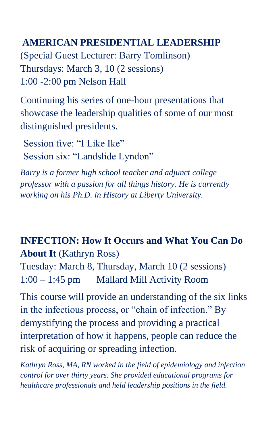#### **AMERICAN PRESIDENTIAL LEADERSHIP**

(Special Guest Lecturer: Barry Tomlinson) Thursdays: March 3, 10 (2 sessions) 1:00 -2:00 pm Nelson Hall

Continuing his series of one-hour presentations that showcase the leadership qualities of some of our most distinguished presidents.

Session five: "I Like Ike" Session six: "Landslide Lyndon"

*Barry is a former high school teacher and adjunct college professor with a passion for all things history. He is currently working on his Ph.D. in History at Liberty University.*

#### **INFECTION: How It Occurs and What You Can Do About It** (Kathryn Ross)

Tuesday: March 8, Thursday, March 10 (2 sessions) 1:00 – 1:45 pm Mallard Mill Activity Room

This course will provide an understanding of the six links in the infectious process, or "chain of infection." By demystifying the process and providing a practical interpretation of how it happens, people can reduce the risk of acquiring or spreading infection.

*Kathryn Ross, MA, RN worked in the field of epidemiology and infection control for over thirty years. She provided educational programs for healthcare professionals and held leadership positions in the field.*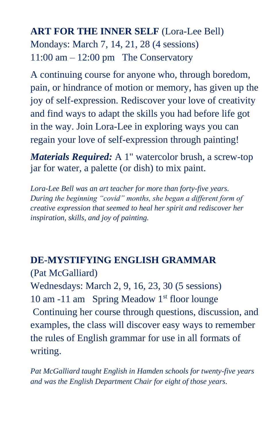#### **ART FOR THE INNER SELF** (Lora-Lee Bell) Mondays: March 7, 14, 21, 28 (4 sessions)  $11:00$  am  $-12:00$  pm The Conservatory

A continuing course for anyone who, through boredom, pain, or hindrance of motion or memory, has given up the joy of self-expression. Rediscover your love of creativity and find ways to adapt the skills you had before life got in the way. Join Lora-Lee in exploring ways you can regain your love of self-expression through painting!

*Materials Required:* A 1" watercolor brush, a screw-top jar for water, a palette (or dish) to mix paint.

*Lora-Lee Bell was an art teacher for more than forty-five years. During the beginning "covid" months, she began a different form of creative expression that seemed to heal her spirit and rediscover her inspiration, skills, and joy of painting.* 

#### **DE-MYSTIFYING ENGLISH GRAMMAR**

(Pat McGalliard) Wednesdays: March 2, 9, 16, 23, 30 (5 sessions) 10 am -11 am Spring Meadow  $1<sup>st</sup>$  floor lounge Continuing her course through questions, discussion, and examples, the class will discover easy ways to remember the rules of English grammar for use in all formats of writing.

*Pat McGalliard taught English in Hamden schools for twenty-five years and was the English Department Chair for eight of those years.*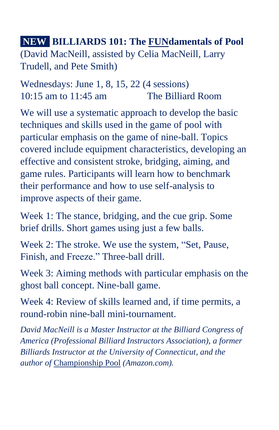**NEW! BILLIARDS 101: The FUNdamentals of Pool**  (David MacNeill, assisted by Celia MacNeill, Larry Trudell, and Pete Smith)

Wednesdays: June 1, 8, 15, 22 (4 sessions) 10:15 am to 11:45 am The Billiard Room

We will use a systematic approach to develop the basic techniques and skills used in the game of pool with particular emphasis on the game of nine-ball. Topics covered include equipment characteristics, developing an effective and consistent stroke, bridging, aiming, and game rules. Participants will learn how to benchmark their performance and how to use self-analysis to improve aspects of their game.

Week 1: The stance, bridging, and the cue grip. Some brief drills. Short games using just a few balls.

Week 2: The stroke. We use the system, "Set, Pause, Finish, and Freeze." Three-ball drill.

Week 3: Aiming methods with particular emphasis on the ghost ball concept. Nine-ball game.

Week 4: Review of skills learned and, if time permits, a round-robin nine-ball mini-tournament.

*David MacNeill is a Master Instructor at the Billiard Congress of America (Professional Billiard Instructors Association), a former Billiards Instructor at the University of Connecticut, and the author of* Championship Pool *(Amazon.com).*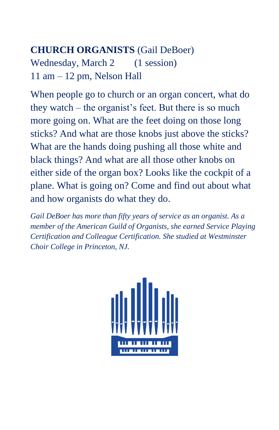#### **CHURCH ORGANISTS** (Gail DeBoer)

Wednesday, March 2 (1 session) 11 am – 12 pm, Nelson Hall

When people go to church or an organ concert, what do they watch – the organist's feet. But there is so much more going on. What are the feet doing on those long sticks? And what are those knobs just above the sticks? What are the hands doing pushing all those white and black things? And what are all those other knobs on either side of the organ box? Looks like the cockpit of a plane. What is going on? Come and find out about what and how organists do what they do.

*Gail DeBoer has more than fifty years of service as an organist. As a member of the American Guild of Organists, she earned Service Playing Certification and Colleague Certification. She studied at Westminster Choir College in Princeton, NJ.*

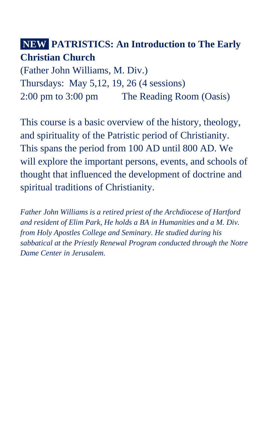#### **NEW PATRISTICS: An Introduction to The Early Christian Church**

(Father John Williams, M. Div.) Thursdays: May 5,12, 19, 26 (4 sessions) 2:00 pm to 3:00 pm The Reading Room (Oasis)

This course is a basic overview of the history, theology, and spirituality of the Patristic period of Christianity. This spans the period from 100 AD until 800 AD. We will explore the important persons, events, and schools of thought that influenced the development of doctrine and spiritual traditions of Christianity.

*Father John Williams is a retired priest of the Archdiocese of Hartford and resident of Elim Park, He holds a BA in Humanities and a M. Div. from Holy Apostles College and Seminary. He studied during his sabbatical at the Priestly Renewal Program conducted through the Notre Dame Center in Jerusalem.*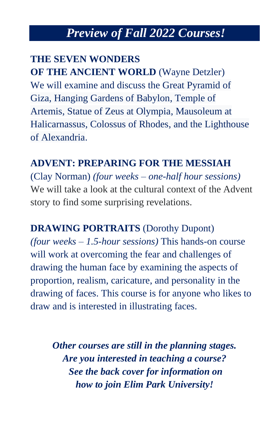## *Preview of Fall 2022 Courses!*

#### **THE SEVEN WONDERS**

**OF THE ANCIENT WORLD** (Wayne Detzler) We will examine and discuss the [Great Pyramid of](https://en.wikipedia.org/wiki/Great_Pyramid_of_Giza)  [Giza,](https://en.wikipedia.org/wiki/Great_Pyramid_of_Giza) [Hanging Gardens of Babylon,](https://en.wikipedia.org/wiki/Hanging_Gardens_of_Babylon) [Temple of](https://en.wikipedia.org/wiki/Temple_of_Artemis)  [Artemis,](https://en.wikipedia.org/wiki/Temple_of_Artemis) [Statue of Zeus at Olympia,](https://en.wikipedia.org/wiki/Statue_of_Zeus_at_Olympia) [Mausoleum at](https://en.wikipedia.org/wiki/Mausoleum_at_Halicarnassus)  [Halicarnassus,](https://en.wikipedia.org/wiki/Mausoleum_at_Halicarnassus) [Colossus of Rhodes,](https://en.wikipedia.org/wiki/Colossus_of_Rhodes) and the [Lighthouse](https://en.wikipedia.org/wiki/Lighthouse_of_Alexandria)  [of Alexandria.](https://en.wikipedia.org/wiki/Lighthouse_of_Alexandria)

#### **ADVENT: PREPARING FOR THE MESSIAH**

(Clay Norman) *(four weeks – one-half hour sessions)* We will take a look at the cultural context of the Advent story to find some surprising revelations.

**DRAWING PORTRAITS** (Dorothy Dupont) *(four weeks – 1.5-hour sessions)* This hands-on course will work at overcoming the fear and challenges of drawing the human face by examining the aspects of proportion, realism, caricature, and personality in the drawing of faces. This course is for anyone who likes to draw and is interested in illustrating faces.

*Other courses are still in the planning stages. Are you interested in teaching a course? See the back cover for information on how to join Elim Park University!*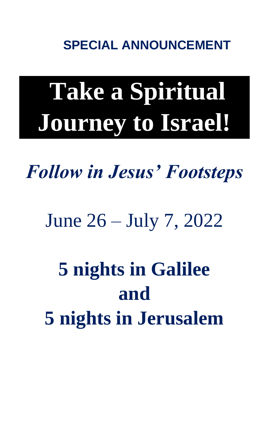**SPECIAL ANNOUNCEMENT**

# **Take a Spiritual Journey to Israel!**

*Follow in Jesus' Footsteps*

June 26 – July 7, 2022

**5 nights in Galilee and 5 nights in Jerusalem**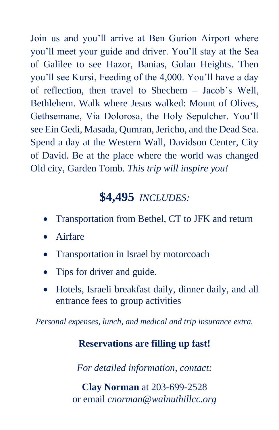Join us and you'll arrive at Ben Gurion Airport where you'll meet your guide and driver. You'll stay at the Sea of Galilee to see Hazor, Banias, Golan Heights. Then you'll see Kursi, Feeding of the 4,000. You'll have a day of reflection, then travel to Shechem – Jacob's Well, Bethlehem. Walk where Jesus walked: Mount of Olives, Gethsemane, Via Dolorosa, the Holy Sepulcher. You'll see Ein Gedi, Masada, Qumran, Jericho, and the Dead Sea. Spend a day at the Western Wall, Davidson Center, City of David. Be at the place where the world was changed Old city, Garden Tomb. *This trip will inspire you!*

### **\$4,495** *INCLUDES:*

- Transportation from Bethel, CT to JFK and return
- Airfare
- Transportation in Israel by motorcoach
- Tips for driver and guide.
- Hotels, Israeli breakfast daily, dinner daily, and all entrance fees to group activities

*Personal expenses, lunch, and medical and trip insurance extra.*

#### **Reservations are filling up fast!**

*For detailed information, contact:*

**Clay Norman** at 203-699-2528 or email *cnorman@walnuthillcc.org*